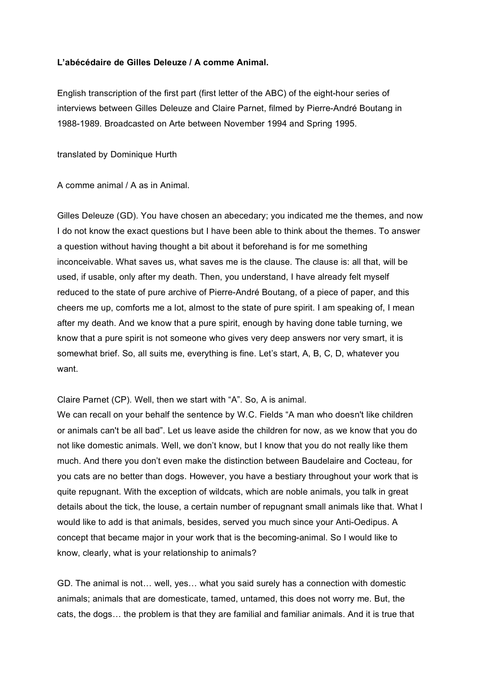## **L'abécédaire de Gilles Deleuze / A comme Animal.**

English transcription of the first part (first letter of the ABC) of the eight-hour series of interviews between Gilles Deleuze and Claire Parnet, filmed by Pierre-André Boutang in 1988-1989. Broadcasted on Arte between November 1994 and Spring 1995.

translated by Dominique Hurth

A comme animal / A as in Animal.

Gilles Deleuze (GD). You have chosen an abecedary; you indicated me the themes, and now I do not know the exact questions but I have been able to think about the themes. To answer a question without having thought a bit about it beforehand is for me something inconceivable. What saves us, what saves me is the clause. The clause is: all that, will be used, if usable, only after my death. Then, you understand, I have already felt myself reduced to the state of pure archive of Pierre-André Boutang, of a piece of paper, and this cheers me up, comforts me a lot, almost to the state of pure spirit. I am speaking of, I mean after my death. And we know that a pure spirit, enough by having done table turning, we know that a pure spirit is not someone who gives very deep answers nor very smart, it is somewhat brief. So, all suits me, everything is fine. Let's start, A, B, C, D, whatever you want.

Claire Parnet (CP). Well, then we start with "A". So, A is animal.

We can recall on your behalf the sentence by W.C. Fields "A man who doesn't like children or animals can't be all bad". Let us leave aside the children for now, as we know that you do not like domestic animals. Well, we don't know, but I know that you do not really like them much. And there you don't even make the distinction between Baudelaire and Cocteau, for you cats are no better than dogs. However, you have a bestiary throughout your work that is quite repugnant. With the exception of wildcats, which are noble animals, you talk in great details about the tick, the louse, a certain number of repugnant small animals like that. What I would like to add is that animals, besides, served you much since your Anti-Oedipus. A concept that became major in your work that is the becoming-animal. So I would like to know, clearly, what is your relationship to animals?

GD. The animal is not… well, yes… what you said surely has a connection with domestic animals; animals that are domesticate, tamed, untamed, this does not worry me. But, the cats, the dogs… the problem is that they are familial and familiar animals. And it is true that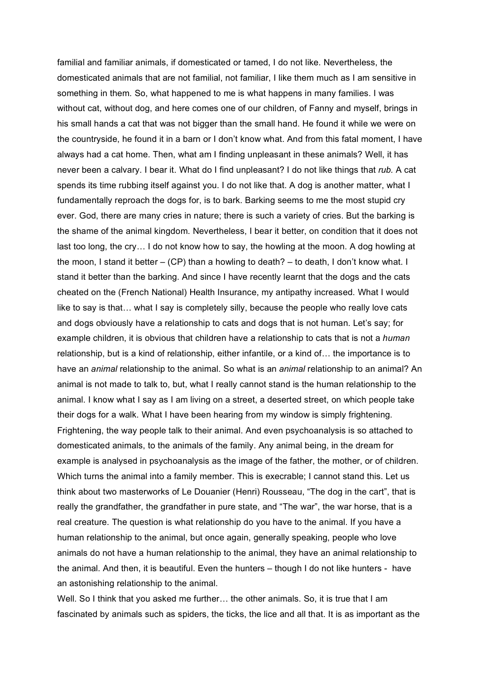familial and familiar animals, if domesticated or tamed, I do not like. Nevertheless, the domesticated animals that are not familial, not familiar, I like them much as I am sensitive in something in them. So, what happened to me is what happens in many families. I was without cat, without dog, and here comes one of our children, of Fanny and myself, brings in his small hands a cat that was not bigger than the small hand. He found it while we were on the countryside, he found it in a barn or I don't know what. And from this fatal moment, I have always had a cat home. Then, what am I finding unpleasant in these animals? Well, it has never been a calvary. I bear it. What do I find unpleasant? I do not like things that *rub.* A cat spends its time rubbing itself against you. I do not like that. A dog is another matter, what I fundamentally reproach the dogs for, is to bark. Barking seems to me the most stupid cry ever. God, there are many cries in nature; there is such a variety of cries. But the barking is the shame of the animal kingdom. Nevertheless, I bear it better, on condition that it does not last too long, the cry… I do not know how to say, the howling at the moon. A dog howling at the moon, I stand it better – (CP) than a howling to death? – to death, I don't know what. I stand it better than the barking. And since I have recently learnt that the dogs and the cats cheated on the (French National) Health Insurance, my antipathy increased. What I would like to say is that… what I say is completely silly, because the people who really love cats and dogs obviously have a relationship to cats and dogs that is not human. Let's say; for example children, it is obvious that children have a relationship to cats that is not a *human* relationship, but is a kind of relationship, either infantile, or a kind of… the importance is to have an *animal* relationship to the animal. So what is an *animal* relationship to an animal? An animal is not made to talk to, but, what I really cannot stand is the human relationship to the animal. I know what I say as I am living on a street, a deserted street, on which people take their dogs for a walk. What I have been hearing from my window is simply frightening. Frightening, the way people talk to their animal. And even psychoanalysis is so attached to domesticated animals, to the animals of the family. Any animal being, in the dream for example is analysed in psychoanalysis as the image of the father, the mother, or of children. Which turns the animal into a family member. This is execrable; I cannot stand this. Let us think about two masterworks of Le Douanier (Henri) Rousseau, "The dog in the cart", that is really the grandfather, the grandfather in pure state, and "The war", the war horse, that is a real creature. The question is what relationship do you have to the animal. If you have a human relationship to the animal, but once again, generally speaking, people who love animals do not have a human relationship to the animal, they have an animal relationship to the animal. And then, it is beautiful. Even the hunters – though I do not like hunters - have an astonishing relationship to the animal.

Well. So I think that you asked me further... the other animals. So, it is true that I am fascinated by animals such as spiders, the ticks, the lice and all that. It is as important as the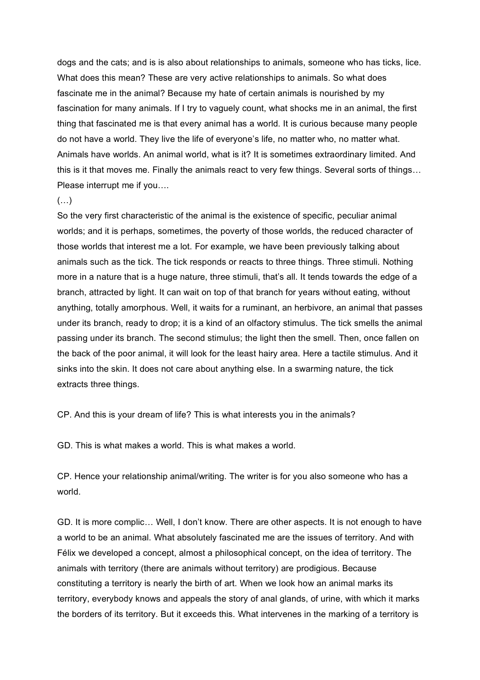dogs and the cats; and is is also about relationships to animals, someone who has ticks, lice. What does this mean? These are very active relationships to animals. So what does fascinate me in the animal? Because my hate of certain animals is nourished by my fascination for many animals. If I try to vaguely count, what shocks me in an animal, the first thing that fascinated me is that every animal has a world. It is curious because many people do not have a world. They live the life of everyone's life, no matter who, no matter what. Animals have worlds. An animal world, what is it? It is sometimes extraordinary limited. And this is it that moves me. Finally the animals react to very few things. Several sorts of things… Please interrupt me if you….

## (…)

So the very first characteristic of the animal is the existence of specific, peculiar animal worlds; and it is perhaps, sometimes, the poverty of those worlds, the reduced character of those worlds that interest me a lot. For example, we have been previously talking about animals such as the tick. The tick responds or reacts to three things. Three stimuli. Nothing more in a nature that is a huge nature, three stimuli, that's all. It tends towards the edge of a branch, attracted by light. It can wait on top of that branch for years without eating, without anything, totally amorphous. Well, it waits for a ruminant, an herbivore, an animal that passes under its branch, ready to drop; it is a kind of an olfactory stimulus. The tick smells the animal passing under its branch. The second stimulus; the light then the smell. Then, once fallen on the back of the poor animal, it will look for the least hairy area. Here a tactile stimulus. And it sinks into the skin. It does not care about anything else. In a swarming nature, the tick extracts three things.

CP. And this is your dream of life? This is what interests you in the animals?

GD. This is what makes a world. This is what makes a world.

CP. Hence your relationship animal/writing. The writer is for you also someone who has a world.

GD. It is more complic… Well, I don't know. There are other aspects. It is not enough to have a world to be an animal. What absolutely fascinated me are the issues of territory. And with Félix we developed a concept, almost a philosophical concept, on the idea of territory. The animals with territory (there are animals without territory) are prodigious. Because constituting a territory is nearly the birth of art. When we look how an animal marks its territory, everybody knows and appeals the story of anal glands, of urine, with which it marks the borders of its territory. But it exceeds this. What intervenes in the marking of a territory is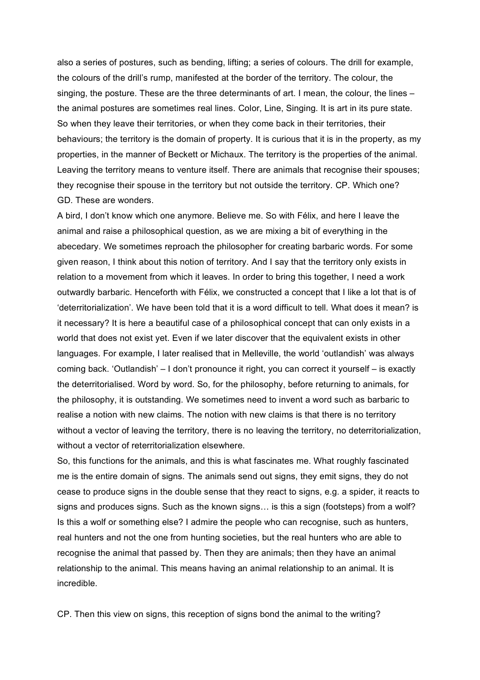also a series of postures, such as bending, lifting; a series of colours. The drill for example, the colours of the drill's rump, manifested at the border of the territory. The colour, the singing, the posture. These are the three determinants of art. I mean, the colour, the lines – the animal postures are sometimes real lines. Color, Line, Singing. It is art in its pure state. So when they leave their territories, or when they come back in their territories, their behaviours; the territory is the domain of property. It is curious that it is in the property, as my properties, in the manner of Beckett or Michaux. The territory is the properties of the animal. Leaving the territory means to venture itself. There are animals that recognise their spouses; they recognise their spouse in the territory but not outside the territory. CP. Which one? GD. These are wonders.

A bird, I don't know which one anymore. Believe me. So with Félix, and here I leave the animal and raise a philosophical question, as we are mixing a bit of everything in the abecedary. We sometimes reproach the philosopher for creating barbaric words. For some given reason, I think about this notion of territory. And I say that the territory only exists in relation to a movement from which it leaves. In order to bring this together, I need a work outwardly barbaric. Henceforth with Félix, we constructed a concept that I like a lot that is of 'deterritorialization'. We have been told that it is a word difficult to tell. What does it mean? is it necessary? It is here a beautiful case of a philosophical concept that can only exists in a world that does not exist yet. Even if we later discover that the equivalent exists in other languages. For example, I later realised that in Melleville, the world 'outlandish' was always coming back. 'Outlandish' – I don't pronounce it right, you can correct it yourself – is exactly the deterritorialised. Word by word. So, for the philosophy, before returning to animals, for the philosophy, it is outstanding. We sometimes need to invent a word such as barbaric to realise a notion with new claims. The notion with new claims is that there is no territory without a vector of leaving the territory, there is no leaving the territory, no deterritorialization, without a vector of reterritorialization elsewhere.

So, this functions for the animals, and this is what fascinates me. What roughly fascinated me is the entire domain of signs. The animals send out signs, they emit signs, they do not cease to produce signs in the double sense that they react to signs, e.g. a spider, it reacts to signs and produces signs. Such as the known signs… is this a sign (footsteps) from a wolf? Is this a wolf or something else? I admire the people who can recognise, such as hunters, real hunters and not the one from hunting societies, but the real hunters who are able to recognise the animal that passed by. Then they are animals; then they have an animal relationship to the animal. This means having an animal relationship to an animal. It is incredible.

CP. Then this view on signs, this reception of signs bond the animal to the writing?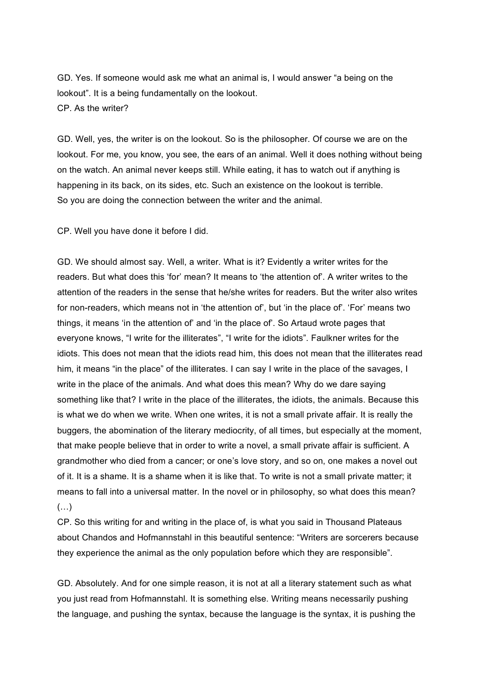GD. Yes. If someone would ask me what an animal is, I would answer "a being on the lookout". It is a being fundamentally on the lookout. CP. As the writer?

GD. Well, yes, the writer is on the lookout. So is the philosopher. Of course we are on the lookout. For me, you know, you see, the ears of an animal. Well it does nothing without being on the watch. An animal never keeps still. While eating, it has to watch out if anything is happening in its back, on its sides, etc. Such an existence on the lookout is terrible. So you are doing the connection between the writer and the animal.

CP. Well you have done it before I did.

GD. We should almost say. Well, a writer. What is it? Evidently a writer writes for the readers. But what does this 'for' mean? It means to 'the attention of'. A writer writes to the attention of the readers in the sense that he/she writes for readers. But the writer also writes for non-readers, which means not in 'the attention of', but 'in the place of'. 'For' means two things, it means 'in the attention of' and 'in the place of'. So Artaud wrote pages that everyone knows, "I write for the illiterates", "I write for the idiots". Faulkner writes for the idiots. This does not mean that the idiots read him, this does not mean that the illiterates read him, it means "in the place" of the illiterates. I can say I write in the place of the savages, I write in the place of the animals. And what does this mean? Why do we dare saying something like that? I write in the place of the illiterates, the idiots, the animals. Because this is what we do when we write. When one writes, it is not a small private affair. It is really the buggers, the abomination of the literary mediocrity, of all times, but especially at the moment, that make people believe that in order to write a novel, a small private affair is sufficient. A grandmother who died from a cancer; or one's love story, and so on, one makes a novel out of it. It is a shame. It is a shame when it is like that. To write is not a small private matter; it means to fall into a universal matter. In the novel or in philosophy, so what does this mean?  $(\ldots)$ 

CP. So this writing for and writing in the place of, is what you said in Thousand Plateaus about Chandos and Hofmannstahl in this beautiful sentence: "Writers are sorcerers because they experience the animal as the only population before which they are responsible".

GD. Absolutely. And for one simple reason, it is not at all a literary statement such as what you just read from Hofmannstahl. It is something else. Writing means necessarily pushing the language, and pushing the syntax, because the language is the syntax, it is pushing the